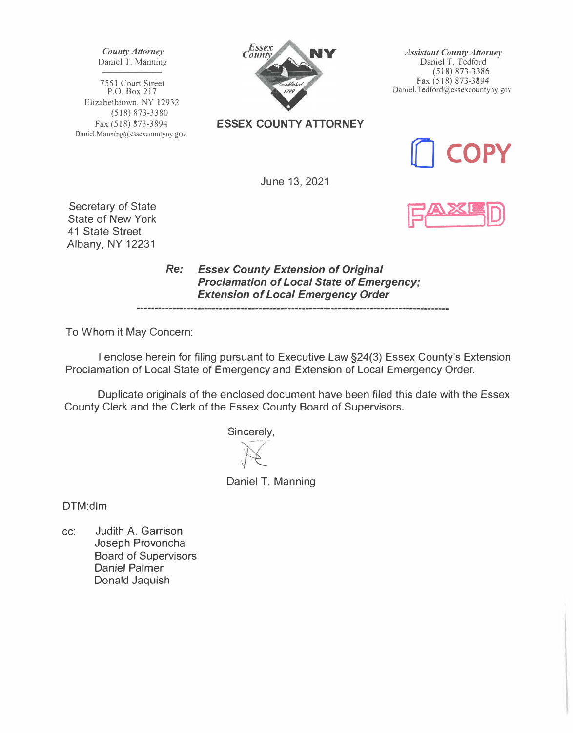*County Attorney*  Daniel T. Manning

7551 Court Street P.O. Box 217 Elizabethtown, NY 12932 (518) 873-3380 Fax (518) 873-3894 Daniel.Manning@essexcountyny.gov



**ESSEX COUNTY ATTORNEY** 

*Assistant County Attome}'*  Daniel T. Tedford (518) 873-3386 Fax (518) 873-3894 Daniel.Tedford@cssexcountyny.gov



June 13, 2021

Secretary of State State of New York 41 State Street Albany, NY 12231

> *Re: Essex County Extension of Original Proclamation of Local State of Emergency; Extension of Local Emergency Order*

To Whom it May Concern:

I enclose herein for filing pursuant to Executive Law §24(3) Essex County's Extension Proclamation of Local State of Emergency and Extension of Local Emergency Order.

Duplicate originals of the enclosed document have been filed this date with the Essex County Clerk and the Clerk of the Essex County Board of Supervisors.

Sincerely,

 $\Lambda$ 

Daniel T. Manning

DTM:dlm

cc: Judith A. Garrison Joseph Provoncha Board of Supervisors Daniel Palmer Donald Jaquish

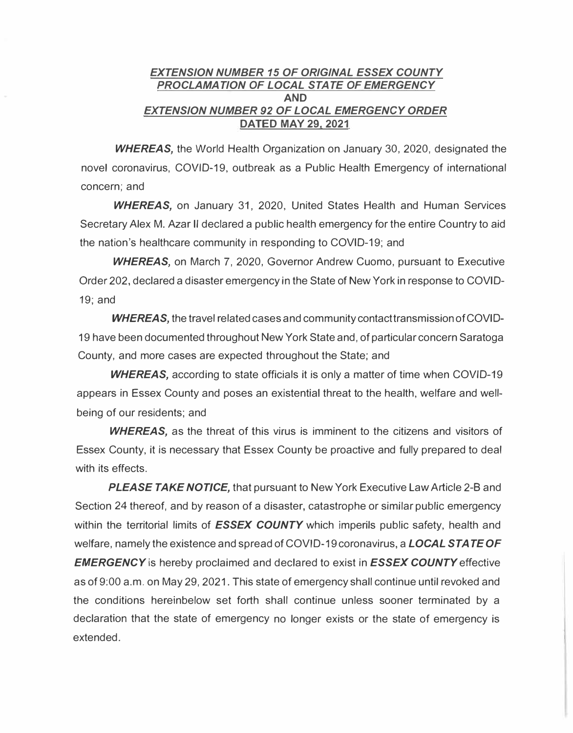## *EXTENSION NUMBER 15 OF ORIGINAL ESSEX COUNTY PROCLAMATION OF LOCAL STATE OF EMERGENCY*  **AND**  *EXTENSION NUMBER 92 OF LOCAL EMERGENCY ORDER*  **DATED MAY 29, 2021**

*WHEREAS,* the World Health Organization on January 30, 2020, designated the novel coronavirus, COVID-19, outbreak as a Public Health Emergency of international concern; and

**WHEREAS,** on January 31, 2020, United States Health and Human Services Secretary Alex M. Azar II declared a public health emergency for the entire Country to aid the nation's healthcare community in responding to COVID-19; and

*WHEREAS,* on March 7, 2020, Governor Andrew Cuomo, pursuant to Executive Order 202, declared a disaster emergency in the State of New York in response to COVID-19; and

**WHEREAS,** the travel related cases and community contact transmission of COVID-19 have been documented throughout New York State and, of particular concern Saratoga County, and more cases are expected throughout the State; and

*WHEREAS,* according to state officials it is only a matter of time when COVID-19 appears in Essex County and poses an existential threat to the health, welfare and wellbeing of our residents; and

**WHEREAS**, as the threat of this virus is imminent to the citizens and visitors of Essex County, it is necessary that Essex County be proactive and fully prepared to deal with its effects.

*PLEASE TAKE NOTICE,* that pursuant to New York Executive Law Article 2-8 and Section 24 thereof, and by reason of a disaster, catastrophe or similar public emergency within the territorial limits of *ESSEX COUNTY* which imperils public safety, health and welfare, namely the existence and spread of COVID-19 coronavirus, a *LOCAL STATE OF EMERGENCY* is hereby proclaimed and declared to exist in *ESSEX COUNTY* effective as of 9:00 a.m. on May 29, 2021. This state of emergency shall continue until revoked and the conditions hereinbelow set forth shall continue unless sooner terminated by a declaration that the state of emergency no longer exists or the state of emergency is extended.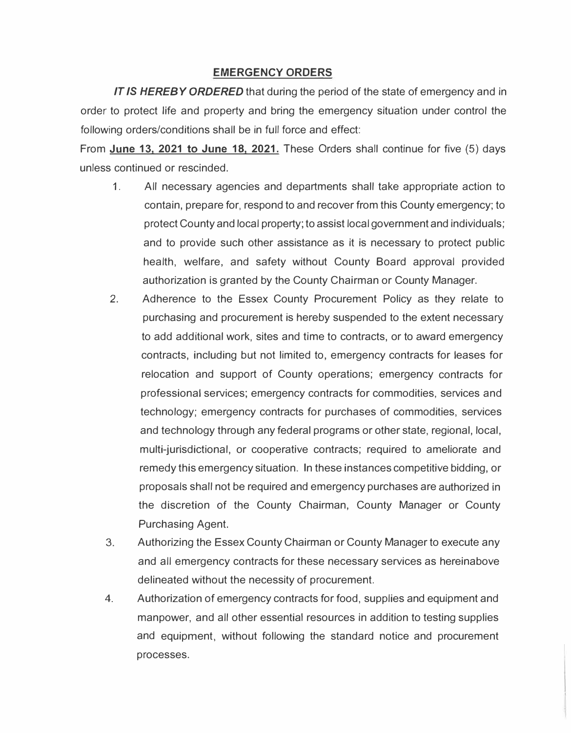## **EMERGENCY ORDERS**

*IT IS HEREBY ORDERED* that during the period of the state of emergency and in order to protect life and property and bring the emergency situation under control the following orders/conditions shall be in full force and effect:

From **June 13, 2021 to June 18, 2021.** These Orders shall continue for five (5) days unless continued or rescinded.

- 1 . All necessary agencies and departments shall take appropriate action to contain, prepare for, respond to and recover from this County emergency; to protect County and local property; to assist local government and individuals; and to provide such other assistance as it is necessary to protect public health, welfare, and safety without County Board approval provided authorization is granted by the County Chairman or County Manager.
- 2. Adherence to the Essex County Procurement Policy as they relate to purchasing and procurement is hereby suspended to the extent necessary to add additional work, sites and time to contracts, or to award emergency contracts, including but not limited to, emergency contracts for leases for relocation and support of County operations; emergency contracts for professional services; emergency contracts for commodities, services and technology; emergency contracts for purchases of commodities, services and technology through any federal programs or other state, regional, local, multi-jurisdictional, or cooperative contracts; required to ameliorate and remedy this emergency situation. In these instances competitive bidding, or proposals shall not be required and emergency purchases are authorized in the discretion of the County Chairman, County Manager or County Purchasing Agent.
- 3. Authorizing the Essex County Chairman or County Manager to execute any and all emergency contracts for these necessary services as hereinabove delineated without the necessity of procurement.
- 4. Authorization of emergency contracts for food, supplies and equipment and manpower, and all other essential resources in addition to testing supplies and equipment, without following the standard notice and procurement processes.